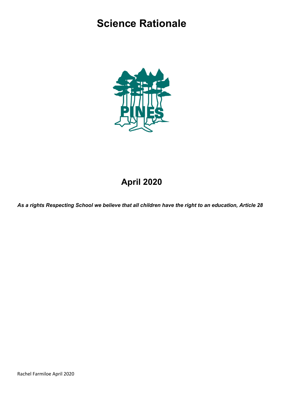# **Science Rationale**



## **April 2020**

*As a rights Respecting School we believe that all children have the right to an education, Article 28*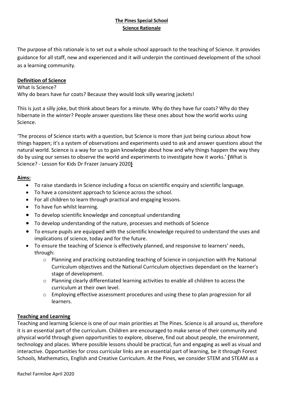## **The Pines Special School Science Rationale**

The purpose of this rationale is to set out a whole school approach to the teaching of Science. It provides guidance for all staff, new and experienced and it will underpin the continued development of the school as a learning community.

## **Definition of Science**

What Is Science? Why do bears have fur coats? Because they would look silly wearing jackets!

This is just a silly joke, but think about bears for a minute. Why do they have fur coats? Why do they hibernate in the winter? People answer questions like these ones about how the world works using Science.

'The process of Science starts with a question, but Science is more than just being curious about how things happen; it's a system of observations and experiments used to ask and answer questions about the natural world. Science is a way for us to gain knowledge about how and why things happen the way they do by using our senses to observe the world and experiments to investigate how it works.' **(**What is Science? - Lesson for Kids Dr Frazer January 2020**)**

## **Aims:**

- To raise standards in Science including a focus on scientific enquiry and scientific language.
- To have a consistent approach to Science across the school.
- For all children to learn through practical and engaging lessons.
- To have fun whilst learning.
- To develop scientific knowledge and conceptual understanding
- To develop understanding of the nature, processes and methods of Science
- To ensure pupils are equipped with the scientific knowledge required to understand the uses and implications of science, today and for the future.
- To ensure the teaching of Science is effectively planned, and responsive to learners' needs, through:
	- o Planning and practicing outstanding teaching of Science in conjunction with Pre National Curriculum objectives and the National Curriculum objectives dependant on the learner's stage of development.
	- o Planning clearly differentiated learning activities to enable all children to access the curriculum at their own level.
	- $\circ$  Employing effective assessment procedures and using these to plan progression for all learners.

## **Teaching and Learning**

Teaching and learning Science is one of our main priorities at The Pines. Science is all around us, therefore it is an essential part of the curriculum. Children are encouraged to make sense of their community and physical world through given opportunities to explore, observe, find out about people, the environment, technology and places. Where possible lessons should be practical, fun and engaging as well as visual and interactive. Opportunities for cross curricular links are an essential part of learning, be it through Forest Schools, Mathematics, English and Creative Curriculum. At the Pines, we consider STEM and STEAM as a